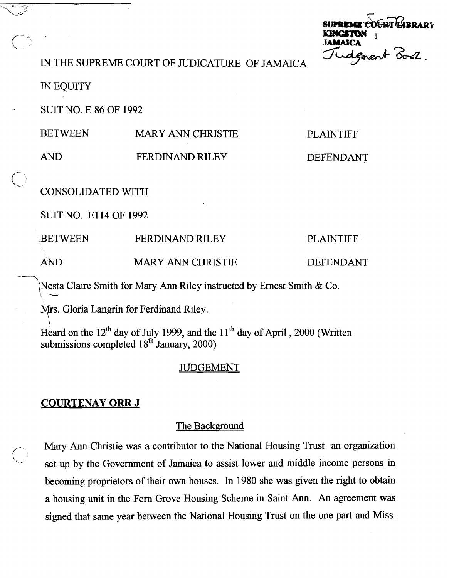**FRALIBRAR** (L - **JAMAICA** 

IN THE SUPREME COURT OF JUDICATURE OF JAMAICA

IN EQUITY

SUIT NO. E 86 OF 1992

| <b>BETWEEN</b> | <b>MARY ANN CHRISTIE</b> | <b>PLAINTIFF</b> |
|----------------|--------------------------|------------------|
|                |                          |                  |

**AND** FERDINAM) RILEY

DEFENDANT

 $\overline{C}$ CONSOLIDATED WITH

SLJITNO. El14 OF 1992

BETWEEN FERDINAND RILEY PLAINTIFF

**AND MARY ANN CHRISTIE DEFENDANT** 

7~~ Claire Smith for Mary Ann Riley instructed by Ernest Smith *81* Co.

Mrs. Gloria Langrin for Ferdinand Riley.

Heard on the  $12<sup>th</sup>$  day of July 1999, and the  $11<sup>th</sup>$  day of April , 2000 (Written submissions completed  $18<sup>th</sup>$  January, 2000)

## JUDGEMENT

# **COURTENAY ORR J**

### The Background

**COURTENAY ORR J**<br>The Background<br>Mary Ann Christie was a contributor to the National Housing Trust an organization<br>set up by the Government of Jamaica to assist lower and middle income persons in set up by the Government of Jamaica to assist lower and middle income persons in becoming proprietors of their own houses. In 1980 she was given the right to obtain a housing unit in the Fern Grove Housing Scheme in Saint **Ann. An** agreement was signed that same year between the National Housing Trust on the one part and Miss.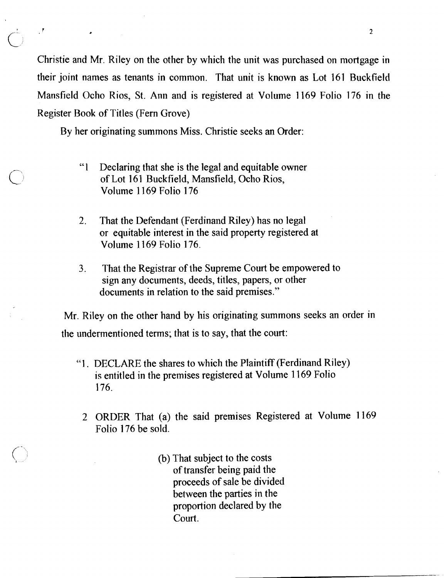Christie and Mr. Riley on the other by which the unit was purchased on mortgage in their joint names as tenants in common. That unit is known as Lot 161 Buckfield Mansfield Ocho Rios, St. Ann and is registered at Volume 1169 Folio 176 in the Register Book of Titles (Fern Grove)

By her originating summons Miss. Christie seeks an Order:

 $\mathcal{A}$ 

- "I Declaring that she is the legal and equitable owner of Lot 161 Buckfield, Mansfield, Ocho Rios, Volume 1 169 Folio 176
- 2. That the Defendant (Ferdinand Riley) has no legal or equitable interest in the said property registered at Volume 1169 Folio 176.
- **3.** That the Registrar of the Supreme Court be empowered to sign any documents, deeds, titles, papers, or other documents in relation to the said premises."

Mr. Riley on the other hand by his originating summons seeks an order in the undermentioned terms; that is to say, that the court:

- "I. DECLARE the shares to which the Plaintiff (Ferdinand Riley) is entitled in the premises registered at Volume 1169 Folio 176.
	- 2 ORDER That (a) the said premises Registered at Volume 1169 Folio 176 be sold.
		- (b) That subject to the costs of transfer being paid the proceeds of sale be divided between the parties in the proportion declared by the Court.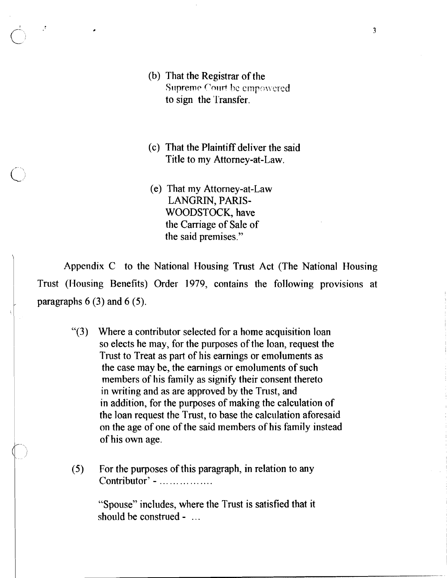(b) That the Registrar of the **Supreme Court be empowered** to sign the 'l'ransfer.

 $\mathcal{I}$ 

- (c) That the Plaintiff deliver the said Title to my Attorney-at-Law.
- (e) That my Attorney-at-Law LANGRIN, PARIS-WOODSTOCK, have the Carriage of Sale of the said premises."

Appendix C to the National Housing Trust Act (The National Housing Trust (Housing Benefits) Order 1979, contains the following provisions at paragraphs  $6(3)$  and  $6(5)$ .

- "(3) Where a contributor selected for a home acquisition loan so elects he may, for the purposes of the loan, request the Trust to Treat as part of his earnings or emoluments as the case may be, the earnings or emoluments of such members of his family as signify their consent thereto in writing and as are approved by the Trust, and in addition, for the purposes of making the calculation of the loan request the Trust, to base the calculation aforesaid on the age of one of the said members of his family instead of his own age.
- (5) For the purposes of this paragraph, in relation to any  $Contribution' - ...$ ..............

"Spouse" includes, where the Trust is satisfied that it should be construed - ...

 $\overline{3}$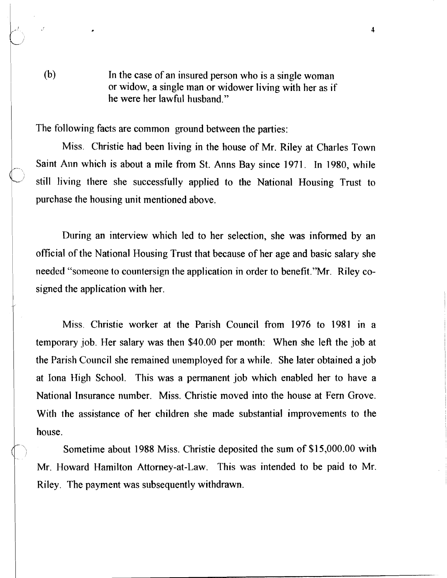(b) In the case of an insured person who is a single woman or widow, a single inan or widower living with her as if he were her lawful husband."

The following facts are common ground between the parties:

Miss. Christie had been living in the house of Mr. Riley at Charles Town Saint **Ann** which is about a mile from St. Anns Bay since 1971. In 1980, while still living there she successfully applied to the National Housing Trust to purchase the housing unit mentioned above.

During an interview which led to her selection, she was informed by an official of the National Housing Trust that because of her age and basic salary she needed "someone to countersign the application in order to benefit."Mr. Riley cosigned the application with her.

Miss. Christie worker at the Parish Council from 1976 to 1981 in a temporary job. Her salary was then \$40.00 per month: When she left the job at the Parish Council she remained unemployed for a while. She later obtained a job at Iona High School. This was a permanent job which enabled her to have a National Insurance number. Miss. Christie moved into the house at Fern Grove. With the assistance of her children she made substantial improvements to the house.

Sometime about 1988 Miss. Christie deposited the sum of \$15,000.00 with Mr. Howard Hamilton Attorney-at-Law. This was intended to be paid to Mr. Riley. The payment was subsequently withdrawn.

,--

 $\overline{\mathbf{4}}$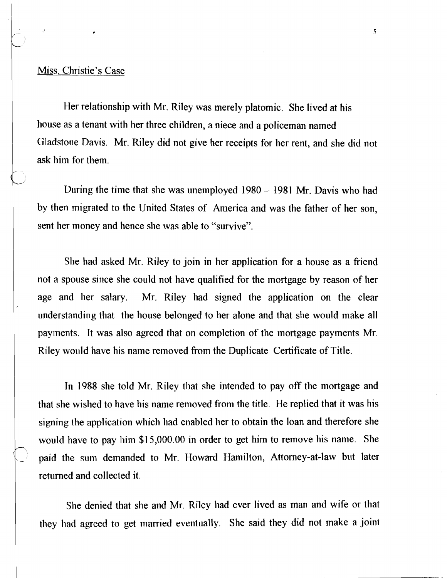#### Miss. Christie's Case

Her relationship with Mr. Riley was merely platomic. She lived at his house as a tenant with her three children, a niece and a policeman named Gladstone Davis. Mr. Riley did not give her receipts for her rent, and she did not ask him for them.

During the time that she was unemployed **1980** - **1981** Mr. Davis who had by then migrated to the United States of America and was the father of her son, sent her money and hence she was able to "survive".

She had asked Mr. Riley to join in her application for a house as a friend not a spouse since she could not have qualified for the mortgage by reason of her age and her salary. Mr. Riley had signed the application on the clear understanding that the house belonged to her alone and that she would make all payments. It was also agreed that on completion of the mortgage payments Mr. Riley would have his name removed from the Duplicate Certificate of Title.

In 1988 she told Mr. Riley that she intended to pay off the mortgage and that she wished to have his name removed from the title. He replied that it was his signing the application which had enabled her to obtain the loan and therefore she would have to pay hiin **\$15,000.00** in order to get him to remove his name. She paid the sum demanded to Mr. Howard Hamilton, Attorney-at-law but later returned and collected it.

She denied that she and Mr. Riley had ever lived as man and wife or that they had agreed to get married eventually. She said they did not make a joint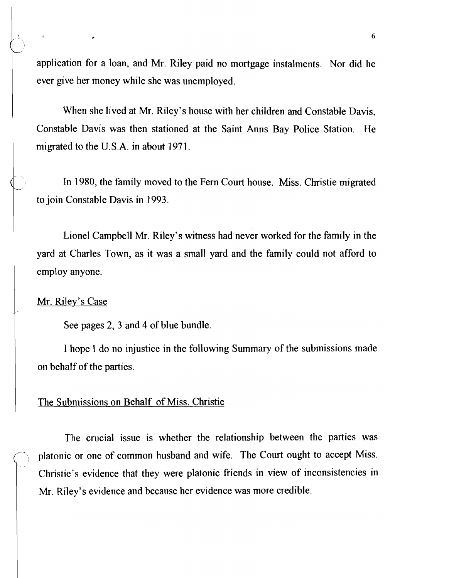application for a loan, and Mr. Riley paid no mortgage instalments. Nor did he ever give her money while she was unemployed.

When she lived at Mr. Riley's house with her children and Constable Davis, Constable Davis was then stationed at the Saint Anns Bay Police Station. He migrated to the U.S.A. in about 1971.

In 1980, the family moved to the Fern Court house. Miss. Christie migrated to join Constable Davis in 1993.

Lionel Campbell Mr. Riley's witness had never worked for the family in the yard at Charles Town, as it was a small yard and the family could not afford to employ anyone.

### Mr. Riley's Case

.'

 $\ddot{\phantom{a}}$ 

See pages 2, 3 and 4 of blue bundle.

I hope I do no injustice in the following Summary of the submissions made on behalf of the parties.

### The Submissions on Behalf of Miss. Christie

The crucial issue is whether the relationship between the parties was platonic or one of common husband and wife. The Court ought to accept Miss. Christie's evidence that they were platonic friends in view of inconsistencies in Mr. Riley's evidence and because her evidence was more credible.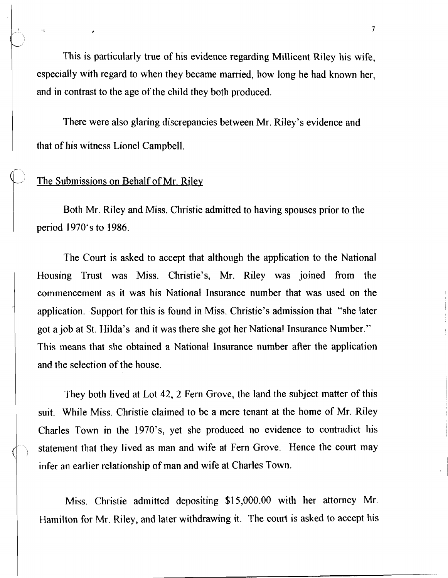This is particularly true of his evidence regarding Millicent Riley his wife, especially with regard to when they became married, how long he had known her, and in contrast to the age of the child they both produced.

There were also glaring discrepancies between Mr. Riley's evidence and that of his witness Lionel Campbell.

### The Submissions on Behalf of Mr. Riley

Both Mr. Riley and Miss. Christie admitted to having spouses prior to the period 1970's to 1986.

The Court is asked to accept that although the application to the National Housing Trust was Miss. Christie's, Mr. Riley was joined from the commencement as it was his National Insurance number that was used on the application. Support for this is found in Miss. Christie's admission that "she later got a job at St. Hilda's and it was there she got her National Insurance Number." This means that she obtained a National Insurance number after the application and the selection of the house.

They both lived at Lot 42, 2 Fern Grove, the land the subject matter of this suit. While Miss. Christie claimed to be a mere tenant at the home of Mr. Riley Charles Town in the 1970's, yet she produced no evidence to contradict his statement that they lived as man and wife at Fern Grove. Hence the court may infer an earlier relationship of man and wife at Charles Town.

Miss. Christie admitted depositing \$15,000.00 with her attorney Mr. Hamilton for Mr. Riley, and larer withdrawing it. The court is asked to accept his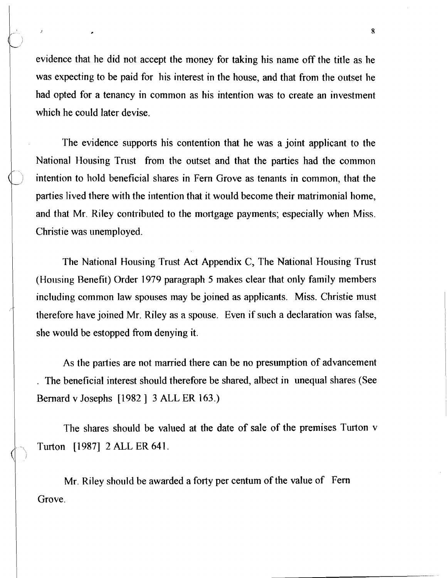evidence that he did not accept the money for taking his name off the title as he was expecting to be paid for his interest in the house, and that from the outset he had opted for a tenancy in common as his intention was to create an investment which he could later devise.

 $\mathcal{I}$ 

The evidence supports his contention that he was a joint applicant to the National Housing Trust from the outset and that the parties had the common intention to hold beneficial shares in Fern Grove as tenants in common, that the parties lived there with the intention that it would become their matrimonial home, and that Mr. Riley contributed to the mortgage payments; especially when Miss. Christie was unemployed.

The National Housing Trust Act Appendix C, The National Housing Trust (Housing Benefit) Order 1979 paragraph 5 makes clear that only family members including common law spouses may be joined as applicants. Miss. Christie must therefore have joined Mr. Riley as a spouse. Even if such a declaration was false, she would be estopped fiom denying it.

As the parties are not married there can be no presumption of advancement . The beneficial interest should therefore be shared, albect in unequal shares (See Bernard v Josephs [I982 ] **3** ALL ER 163.)

The shares should be valued at the date of sale of the premises Turton v Turton [l 9871 2 ALL ER 641.

Mr. Riley should be awarded a forty per centum of the value of Fern Grove.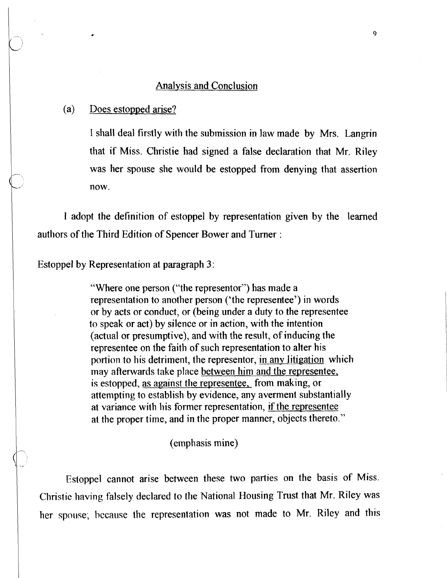### <sup>1</sup>Analysis and Conclusion

#### (a) Does estopped arise?

I shall deal firstly with the submission in law made by Mrs. Langrin that if Miss. Christie had signed a false declaration that Mr. Riley was her spouse she would be estopped from denying that assertion now.

1 adopt the definition of estoppel by representation given by the learned authors of the Third Edition of Spencer Bower and Turner :

Estoppel by Representation at paragraph 3:

"Where one person ("the representor") has made a representation to another person ('the representee') in words or by acts or conduct, or (being under a duty to the representee to speak or act) by silence or in action, with the intention (actual or presumptive), and with the result, of inducing the representee on the faith of such representation to alter his portion to his detriment, the representor, in any litigation which may afterwards take place between him and the representee, is estopped, as against the representee, from making, or attempting to establish by evidence, any averment substantially at variance with his former representation, if the representee at the proper time, and in the proper manner, objects thereto."

#### (emphasis mine)

Estoppel cannot arise between these two parties on the basis of Miss. Christie having falsely declared to the National Housing Trust that Mr. Riley was her spouse; because the representation was not made to Mr. Riley and this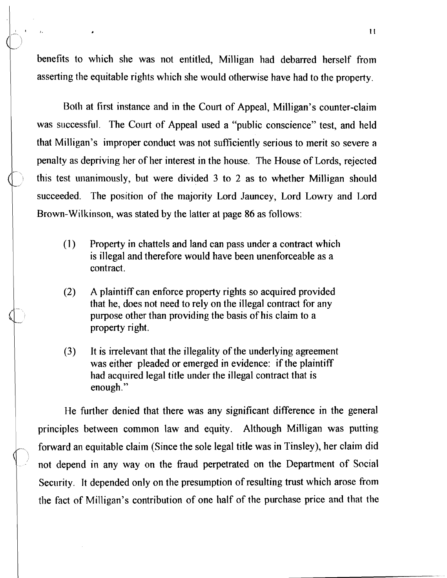benefits to which she was not entitled, Milligan had debarred herself from asserting the equitable rights which she would otherwise have had to the property.

Both at first instance and in the Court of Appeal, Milligan's counter-claim was successful. The Court of Appeal used a "public conscience" test, and held that Milligan's improper conduct was not sufficiently serious to merit so severe a penalty as depriving her of her interest in the house. The House of Lords, rejected this test unanimously, but were divided  $3$  to  $2$  as to whether Milligan should succeeded. The position of the majority Lord Jauncey, Lord Lowry and Lord Brown-Wilkinson, was stated by the latter at page 86 as follows:

- (1) Property in chattels and land can pass under a contract which is illegal and therefore would have been unenforceable as a contract.
- (2) A plaintiff can enforce property rights so acquired provided that he, does not need to rely on the illegal contract for any purpose other than providing the basis of his claim to a property right.
- (3) It is irrelevant that the illegality of the underlying agreement was either pleaded or emerged in evidence: if the plaintiff had acquired legal title under the illegal contract that is enough."

He further denied that there was any significant difference in the general principles between common law and equity. Although Milligan was putting forward an equitable claim (Since the sole legal title was in Tinsley), her claim did not depend in any way on the fraud perpetrated on the Department of Social Secority. It depended only on the presumption of resulting trust which arose from the fact of Milligan's contribution of one half of the purchase price and that the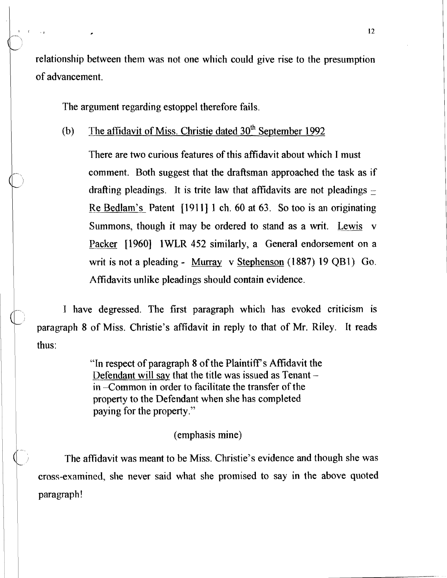relationship between them was not one which could give rise to the presumption of advancement.

The argument regarding estoppel therefore fails.

# (b) The affidavit of Miss. Christie dated  $30<sup>th</sup>$  September 1992

There are two curious features of this affidavit about which I must comment. Both suggest that the draftsman approached the task as if drafting pleadings. It is trite law that affidavits are not pleadings  $-$ Re Bedlam's Patent [1911] 1 ch. 60 at 63. So too is an originating Summons, though it may be ordered to stand as a writ. Lewis v Packer [1960] 1WLR 452 similarly, a General endorsement on a writ is not a pleading - Murray v Stephenson (1887) 19 QBI) Go. Affidavits unlike pleadings should contain evidence.

I have degressed. The first paragraph which has evoked criticism is paragraph 8 of Miss. Christie's affidavit in reply to that of Mr. Riley. It reads <sup>1</sup>thus:

> "In respect of paragraph 8 of the Plaintiffs Affidavit the Defendant will say that the title was issued as  $T$ enant  $$ in -Common in order to facilitate the transfer of the property to the Defendant when she has completed paying for the property."

> > (emphasis mine)

The affidavit was meant to be Miss. Christie's evidence and though she was cross-examined, she never said what she promised to say in the above quoted paragraph!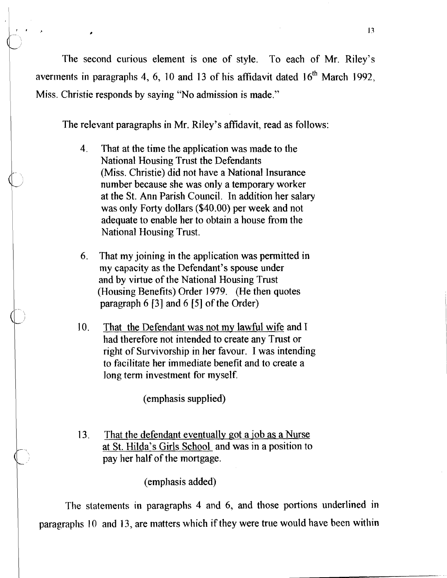The second curious element is one of style. To each of Mr. Riley's averments in paragraphs 4, 6, 10 and 13 of his affidavit dated 16<sup>th</sup> March 1992, Miss. Christie responds by saying "No admission is made."

The relevant paragraphs in Mr. Riley's affidavit, read as follows:

- 4. That at the time the application was made to the National Housing Trust the Defendants (Miss. Christie) did not have a National Insurance number because she was only a temporary worker at the St. Ann Parish Council. In addition her salary was only Forty dollars (\$40.00) per week and not adequate to enable her to obtain a house from the National Housing Trust.
- **6.** That my joining in the application was permitted in my capacity as the Defendant's spouse under and by virtue of the National Housing Trust (Housing Benefits) Order 1979. (He then quotes paragraph **6** [3] and **6 [S]** of the Order)
- 10. That the Defendant was not my lawful wife and **<sup>T</sup>** had therefore not intended to create any Trust or right of Survivorship in her favour. I was intending to facilitate her immediate benefit and to create a long term investment for myself.

(emphasis supplied)

13. That the defendant eventually got a job as a Nurse at St. Hilda's Girls School and was in a position to pay her half of the mortgage.

(emphasis added)

The statements in paragraphs 4 and **6,** and those portions underlined in paragraphs 10 and 13, are matters which if they were true would have been within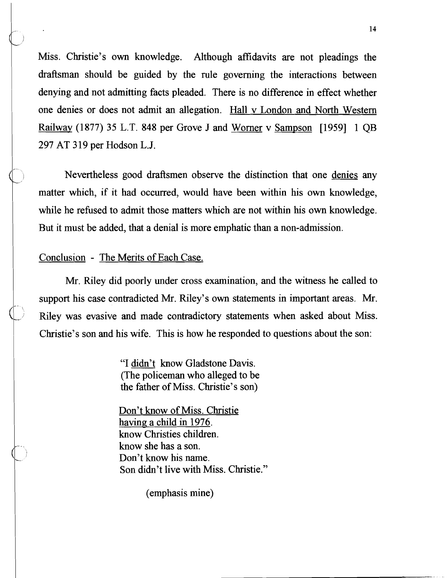Miss. Christie's own knowledge. Although affidavits are not pleadings the draftsman should be guided by the rule governing the interactions between denying and not admitting facts pleaded. There is no difference in effect whether one denies or does not admit an allegation. Hall v London and North Western Railway (1877) 35 L.T. 848 per Grove J and Worner v Sampson [I9591 1 QB 297 AT 319 per Hodson L.J.

Nevertheless good draftsmen observe the distinction that one denies any matter which, if it had occurred, would have been within his own knowledge, while he refused to admit those matters which are not within his own knowledge. But it must be added, that a denial is more emphatic than a non-admission.

### Conclusion - The Merits of Each Case.

Mr. Riley did poorly under cross examination, and the witness he called to support his case contradicted Mr. Riley's own statements in important areas. Mr. Riley was evasive and made contradictory statements when asked about Miss. Christie's son and his wife. This is how he responded to questions about the son:

> "I didn't know Gladstone Davis. (The policeman who alleged to be the father of Miss. Christie's son)

Don't know of Miss. Christie having a child in 1976. know Christies children. know she has a son. Don't know his name. Son didn't live with Miss. Christie."

(emphasis mine)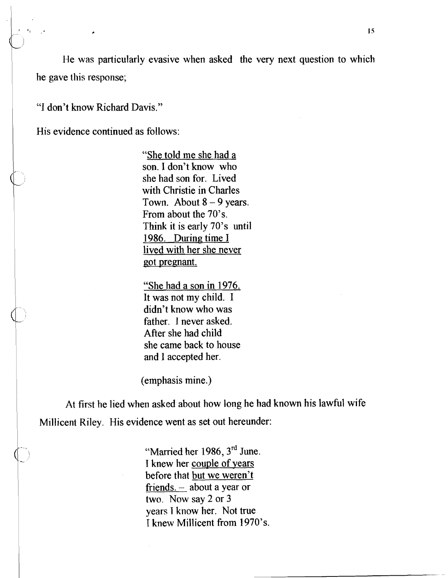He was particularly evasive when asked the very next question to which he gave this response;

"I don't know Richard Davis."

His evidence continued as follows:

"She told me she had a son. I don't know who she had son for. Lived with Christie in Charles Town. About  $8 - 9$  years. From about the 70's. Think it is early 70's until 1986. During time J lived with her she never got pregnant.

"She had a son in 1976. It was not my child. I didn't know who was father. I never asked. After she had child she came back to house and I accepted her.

(emphasis mine.)

At first he lied when asked about how long he had known his lawful wife Millicent Riley. His evidence went as set out hereunder:

> "Manied her 1986, **3rd** June. I knew her couple of years before that but we weren't friends. - about a year or two. Now say 2 or 3 years I know her. Not true I knew Millicent fiom 1970's.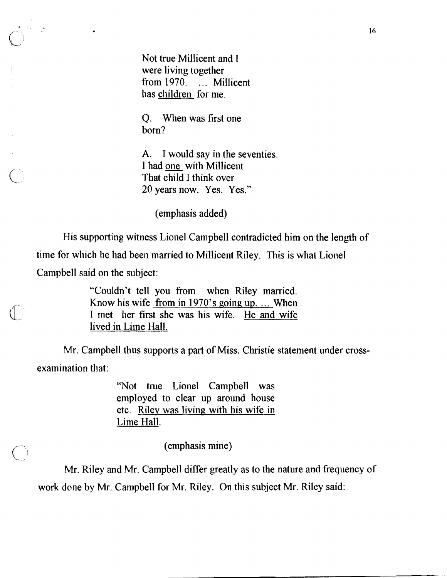Not true Millicent and I were living together from 1970. ... Millicent has children for me.

Q. When was first one born?

**A.** I would say in the seventies. I had one with Millicent That child I think over 20 years now. Yes. Yes."

(emphasis added)

Flis supporting witness Lionel Campbell contradicted him on the length of

time for which he had been married to Millicent Riley. This is what Lionel

Campbell said on the subject:

"Couldn't tell you from when Riley married. Know his wife from in  $1970$ 's going up. ... When I met her first she was his wife. He and wife lived in Lime Hall.

Mr. Campbell thus supports a part of Miss. Christie statement under crossexamination that:

> "Not true Lionel Campbell was employed to clear up around house etc. Riley was living, with his wife in Lime Hall.

> > (emphasis mine)

Mr. Riley and Mr. Campbell differ greatly as to the nature and frequency of work done by Mr. Campbell for Mr. Riley. On this subject Mr. Riley said: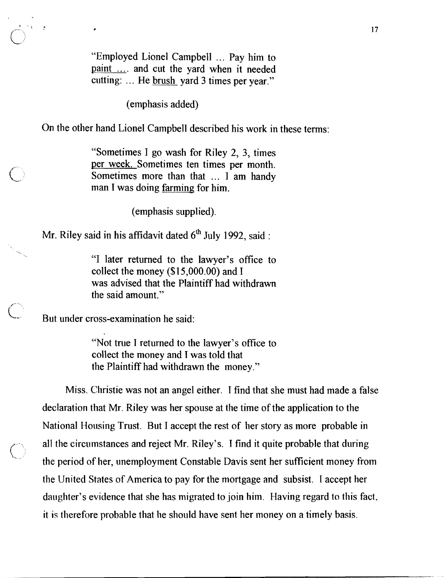"Employed Lionel Campbell ... Pay him to paint .... and cut the yard when it needed cutting: ... He brush yard 3 times per year."

(emphasis added)

On the other hand Lionel Campbell described his work in these terms:

"Sometimes I go wash for Riley 2, 3, times per week. Sometimes ten times per month. Sometimes more than that ... I am handy man I was doing <u>farming</u> for him.

(emphasis supplied).

Mr. Riley said in his affidavit dated 6<sup>th</sup> July 1992, said :

"I later returned to the lawyer's office to collect the money  $(\$15,000.00)$  and I was advised that the Plaintiff had withdrawn the said amount."

But under cross-examination he said:

"Not true I returned to the lawyer's office to collect the money and I was told that the Plaintiff had withdrawn the money."

Miss. Christie was not an angel either. I find that she must had made a false declaration that Mr. Riley was her spouse at the time of the application to the National Housing Trust. But I accept the rest of her story as more probable in all the circumstances and reject Mr. Riley's. I find it quite probable that during the period of her, unemployment Constable Davis sent her sufficient money from the United States of America to pay for the mortgage and subsist. **1** accept her daughter's evidence that she has migrated to join him. Having regard to this fact, it is therefore probable that he should have sent her money on a timely basis.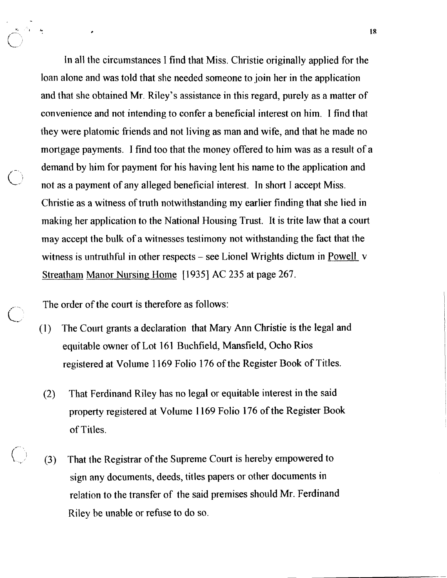In all the circumstances I find that Miss. Christie originally applied for the loan alone and was told that she needed someone to join her in the application and that she obtained Mr. Riley's assistance in this regard, purely as a matter of convenience and not intending to confer a beneficial interest on him. I find that they were platomic fiiends and not living as man and wife, and that he made no mortgage payments. I find too that the money offered to him was as a result of a demand by him for payment for his having lent his name to the application and not as a payment of any alleged beneficial interest. In short I accept Miss. Christie as a witness of truth notwithstanding my earlier finding that she lied in making her application to the National Housing Trust. It is trite law that a court may accept the bulk of a witnesses testimony not withstanding the fact that the witness is untruthful in other respects – see Lionel Wrights dictum in Powell v Streatham Manor Nursing Home [1935] AC 235 at page 267.

The order of the court is therefore as follows:

 $\bigcup_{i=1}^n$ 

*t-'"*   $\bigcup$ 

**I,** 

- (1) The Court grants a declaration that Mary Ann Christie is the legal and equitable owner of Lot 161 Buchfield, Mansfield, Ocho Rios registered at Volume 1 169 Folio 176 of the Register Book of Titles.
	- (2) That Ferdinand Riley has no legal or equitable interest in the said property registered at Volume 1 169 Folio 176 of the Register Book of Titles.
- (3) That the Registrar of the Supreme Court is hereby empowered to sign any documents, deeds, titles papers or other documents in relation to the transfer of the said premises should Mr. Ferdinand Riley he unable or refuse to do so.